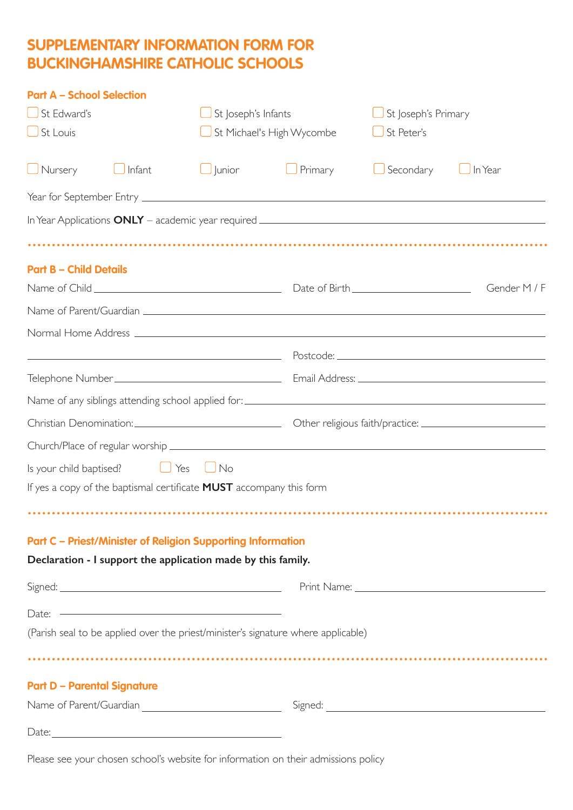## **SUPPLEMENTARY INFORMATION FORM FOR BUCKINGHAMSHIRE CATHOLIC SCHOOLS**

| <b>Part A - School Selection</b>   |               |                                                                            |                                                                                    |           |                     |  |
|------------------------------------|---------------|----------------------------------------------------------------------------|------------------------------------------------------------------------------------|-----------|---------------------|--|
| $\bigcup$ St Edward's              |               |                                                                            | St Joseph's Infants                                                                |           | St Joseph's Primary |  |
| $\bigcup$ St Louis                 |               |                                                                            | St Michael's High Wycombe                                                          |           | St Peter's          |  |
| $\bigcup$ Nursery                  | Infant        | $\Box$ Junior                                                              | Primary                                                                            | Secondary | In Year             |  |
|                                    |               |                                                                            |                                                                                    |           |                     |  |
|                                    |               |                                                                            |                                                                                    |           |                     |  |
|                                    |               |                                                                            |                                                                                    |           |                     |  |
| <b>Part B - Child Details</b>      |               |                                                                            |                                                                                    |           |                     |  |
|                                    |               |                                                                            |                                                                                    |           | Gender M / F        |  |
|                                    |               |                                                                            |                                                                                    |           |                     |  |
|                                    |               |                                                                            |                                                                                    |           |                     |  |
|                                    |               |                                                                            |                                                                                    |           |                     |  |
|                                    |               |                                                                            |                                                                                    |           |                     |  |
|                                    |               |                                                                            |                                                                                    |           |                     |  |
|                                    |               |                                                                            |                                                                                    |           |                     |  |
|                                    |               |                                                                            |                                                                                    |           |                     |  |
| Is your child baptised?            | $\bigcup$ Yes | $\bigcup$ No                                                               |                                                                                    |           |                     |  |
|                                    |               | If yes a copy of the baptismal certificate <b>MUST</b> accompany this form |                                                                                    |           |                     |  |
|                                    |               |                                                                            |                                                                                    |           |                     |  |
|                                    |               | <b>Part C - Priest/Minister of Religion Supporting Information</b>         |                                                                                    |           |                     |  |
|                                    |               | Declaration - I support the application made by this family.               |                                                                                    |           |                     |  |
|                                    |               |                                                                            |                                                                                    |           |                     |  |
|                                    |               | Date: $\overline{\phantom{a}}$                                             |                                                                                    |           |                     |  |
|                                    |               |                                                                            | (Parish seal to be applied over the priest/minister's signature where applicable)  |           |                     |  |
|                                    |               |                                                                            |                                                                                    |           |                     |  |
| <b>Part D - Parental Signature</b> |               |                                                                            |                                                                                    |           |                     |  |
|                                    |               |                                                                            |                                                                                    |           |                     |  |
|                                    |               |                                                                            |                                                                                    |           |                     |  |
|                                    |               |                                                                            |                                                                                    |           |                     |  |
|                                    |               |                                                                            | Please see vour chosen school's website for information on their admissions policy |           |                     |  |

Please see your chosen school's website for information on their admissions policy